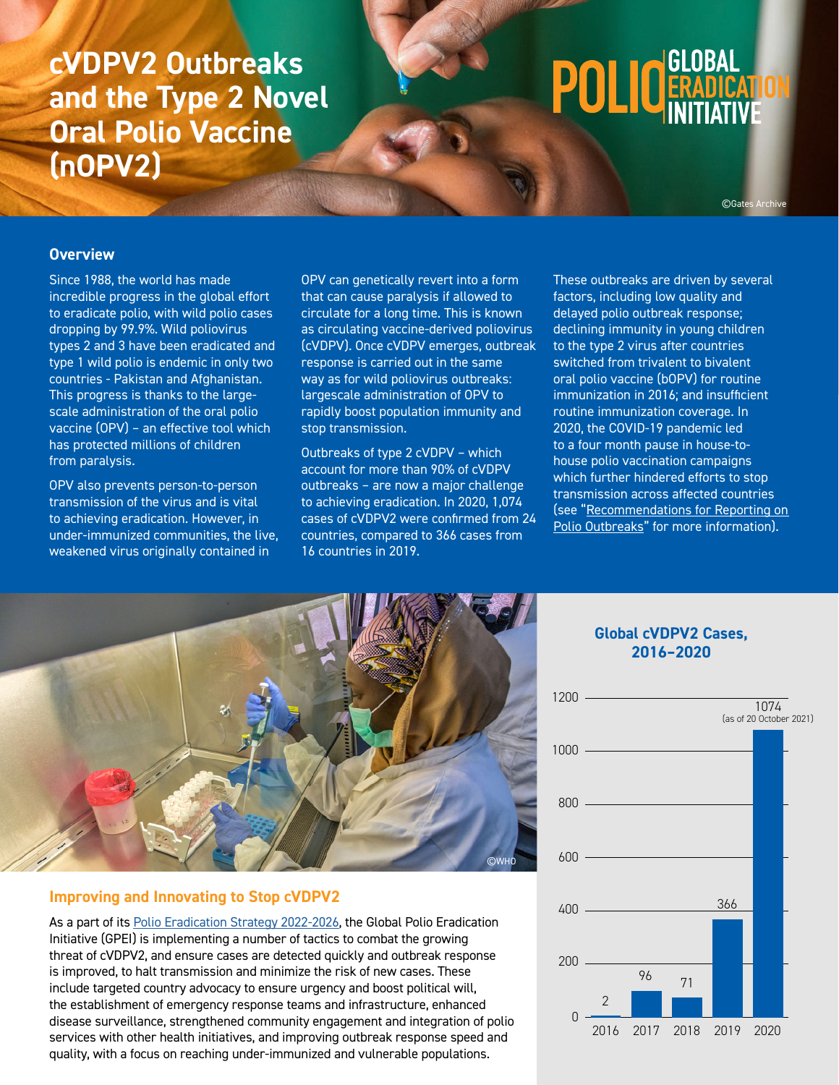# **cVDPV2 Outbreaks and the Type 2 Novel Oral Polio Vaccine (nOPV2)**

# **POLIC GLOBAL**

©Gates Archive

#### **Overview**

Since 1988, the world has made incredible progress in the global effort to eradicate polio, with wild polio cases dropping by 99.9%. Wild poliovirus types 2 and 3 have been eradicated and type 1 wild polio is endemic in only two countries - Pakistan and Afghanistan. This progress is thanks to the largescale administration of the oral polio vaccine (OPV) – an effective tool which has protected millions of children from paralysis.

OPV also prevents person-to-person transmission of the virus and is vital to achieving eradication. However, in under-immunized communities, the live, weakened virus originally contained in

OPV can genetically revert into a form that can cause paralysis if allowed to circulate for a long time. This is known as circulating vaccine-derived poliovirus (cVDPV). Once cVDPV emerges, outbreak response is carried out in the same way as for wild poliovirus outbreaks: largescale administration of OPV to rapidly boost population immunity and stop transmission.

Outbreaks of type 2 cVDPV – which account for more than 90% of cVDPV outbreaks – are now a major challenge to achieving eradication. In 2020, 1,074 cases of cVDPV2 were confirmed from 24 countries, compared to 366 cases from 16 countries in 2019.

These outbreaks are driven by several factors, including low quality and delayed polio outbreak response; declining immunity in young children to the type 2 virus after countries switched from trivalent to bivalent oral polio vaccine (bOPV) for routine immunization in 2016; and insufficient routine immunization coverage. In 2020, the COVID-19 pandemic led to a four month pause in house-tohouse polio vaccination campaigns which further hindered efforts to stop transmission across affected countries (see "[Recommendations for Reporting on](https://polioeradication.org/wp-content/uploads/2021/03/GPEI-Guide-for-Reporting-Responsibly-cVDPVs-20210309.pdf)  [Polio Outbreaks](https://polioeradication.org/wp-content/uploads/2021/03/GPEI-Guide-for-Reporting-Responsibly-cVDPVs-20210309.pdf)" for more information).



#### **Improving and Innovating to Stop cVDPV2**

As a part of its [Polio Eradication Strategy 2022-2026](https://polioeradication.org/wp-content/uploads/2021/10/9789240031937-eng.pdf), the Global Polio Eradication Initiative (GPEI) is implementing a number of tactics to combat the growing threat of cVDPV2, and ensure cases are detected quickly and outbreak response is improved, to halt transmission and minimize the risk of new cases. These include targeted country advocacy to ensure urgency and boost political will, the establishment of emergency response teams and infrastructure, enhanced disease surveillance, strengthened community engagement and integration of polio services with other health initiatives, and improving outbreak response speed and quality, with a focus on reaching under-immunized and vulnerable populations.

#### **Global cVDPV2 Cases, 2016–2020**